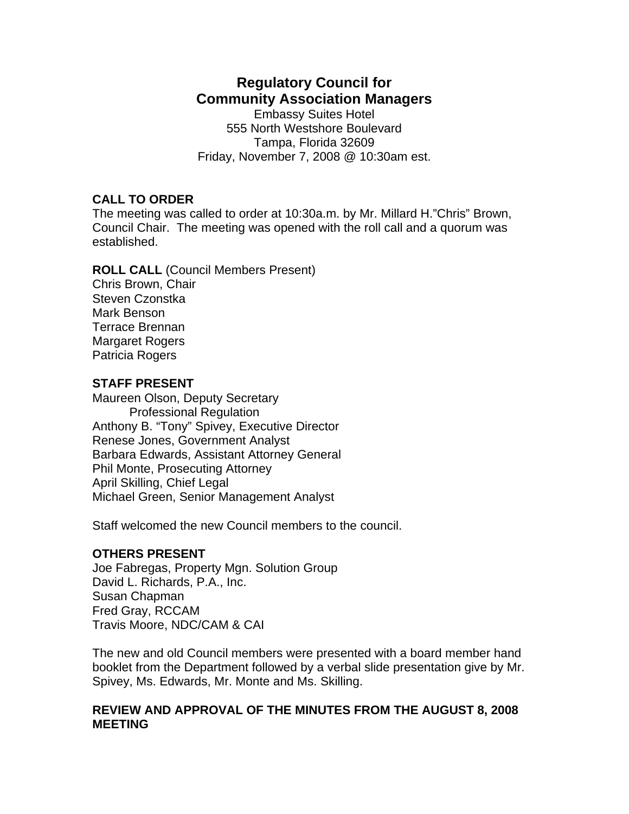# **Regulatory Council for Community Association Managers**

Embassy Suites Hotel 555 North Westshore Boulevard Tampa, Florida 32609 Friday, November 7, 2008 @ 10:30am est.

## **CALL TO ORDER**

The meeting was called to order at 10:30a.m. by Mr. Millard H."Chris" Brown, Council Chair. The meeting was opened with the roll call and a quorum was established.

**ROLL CALL** (Council Members Present) Chris Brown, Chair Steven Czonstka Mark Benson Terrace Brennan Margaret Rogers Patricia Rogers

## **STAFF PRESENT**

Maureen Olson, Deputy Secretary Professional Regulation Anthony B. "Tony" Spivey, Executive Director Renese Jones, Government Analyst Barbara Edwards, Assistant Attorney General Phil Monte, Prosecuting Attorney April Skilling, Chief Legal Michael Green, Senior Management Analyst

Staff welcomed the new Council members to the council.

#### **OTHERS PRESENT**

Joe Fabregas, Property Mgn. Solution Group David L. Richards, P.A., Inc. Susan Chapman Fred Gray, RCCAM Travis Moore, NDC/CAM & CAI

The new and old Council members were presented with a board member hand booklet from the Department followed by a verbal slide presentation give by Mr. Spivey, Ms. Edwards, Mr. Monte and Ms. Skilling.

#### **REVIEW AND APPROVAL OF THE MINUTES FROM THE AUGUST 8, 2008 MEETING**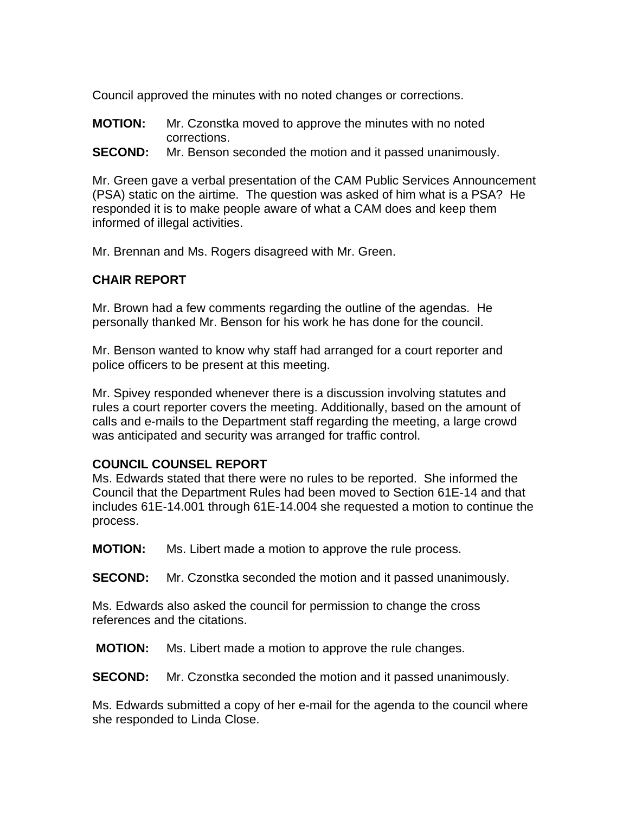Council approved the minutes with no noted changes or corrections.

- **MOTION:** Mr. Czonstka moved to approve the minutes with no noted corrections.
- **SECOND:** Mr. Benson seconded the motion and it passed unanimously.

Mr. Green gave a verbal presentation of the CAM Public Services Announcement (PSA) static on the airtime. The question was asked of him what is a PSA? He responded it is to make people aware of what a CAM does and keep them informed of illegal activities.

Mr. Brennan and Ms. Rogers disagreed with Mr. Green.

# **CHAIR REPORT**

Mr. Brown had a few comments regarding the outline of the agendas. He personally thanked Mr. Benson for his work he has done for the council.

Mr. Benson wanted to know why staff had arranged for a court reporter and police officers to be present at this meeting.

Mr. Spivey responded whenever there is a discussion involving statutes and rules a court reporter covers the meeting. Additionally, based on the amount of calls and e-mails to the Department staff regarding the meeting, a large crowd was anticipated and security was arranged for traffic control.

# **COUNCIL COUNSEL REPORT**

Ms. Edwards stated that there were no rules to be reported. She informed the Council that the Department Rules had been moved to Section 61E-14 and that includes 61E-14.001 through 61E-14.004 she requested a motion to continue the process.

**MOTION:** Ms. Libert made a motion to approve the rule process.

**SECOND:** Mr. Czonstka seconded the motion and it passed unanimously.

Ms. Edwards also asked the council for permission to change the cross references and the citations.

**MOTION:** Ms. Libert made a motion to approve the rule changes.

**SECOND:** Mr. Czonstka seconded the motion and it passed unanimously.

Ms. Edwards submitted a copy of her e-mail for the agenda to the council where she responded to Linda Close.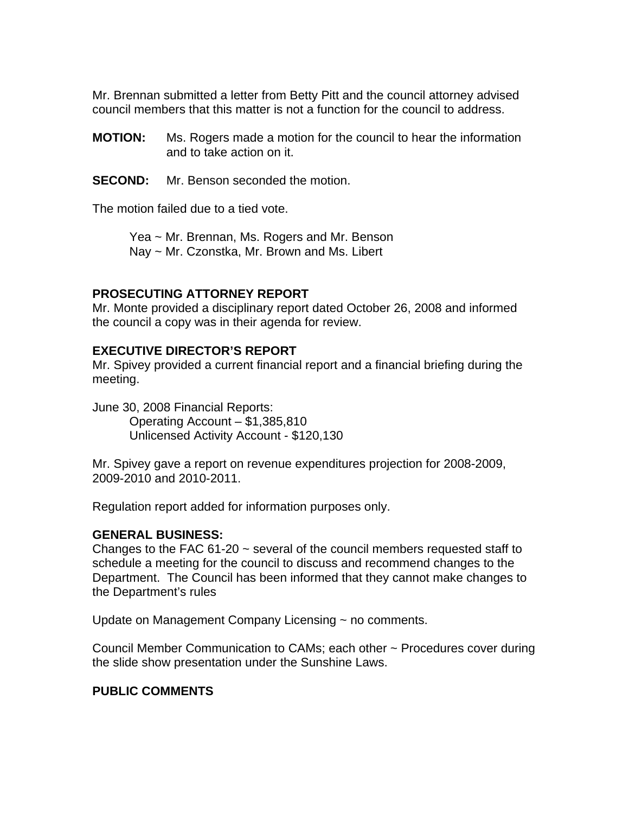Mr. Brennan submitted a letter from Betty Pitt and the council attorney advised council members that this matter is not a function for the council to address.

- **MOTION:** Ms. Rogers made a motion for the council to hear the information and to take action on it.
- **SECOND:** Mr. Benson seconded the motion.

The motion failed due to a tied vote.

 Yea ~ Mr. Brennan, Ms. Rogers and Mr. Benson Nay ~ Mr. Czonstka, Mr. Brown and Ms. Libert

#### **PROSECUTING ATTORNEY REPORT**

Mr. Monte provided a disciplinary report dated October 26, 2008 and informed the council a copy was in their agenda for review.

#### **EXECUTIVE DIRECTOR'S REPORT**

Mr. Spivey provided a current financial report and a financial briefing during the meeting.

June 30, 2008 Financial Reports: Operating Account – \$1,385,810 Unlicensed Activity Account - \$120,130

Mr. Spivey gave a report on revenue expenditures projection for 2008-2009, 2009-2010 and 2010-2011.

Regulation report added for information purposes only.

#### **GENERAL BUSINESS:**

Changes to the FAC  $61-20 \sim$  several of the council members requested staff to schedule a meeting for the council to discuss and recommend changes to the Department. The Council has been informed that they cannot make changes to the Department's rules

Update on Management Company Licensing ~ no comments.

Council Member Communication to CAMs; each other ~ Procedures cover during the slide show presentation under the Sunshine Laws.

#### **PUBLIC COMMENTS**